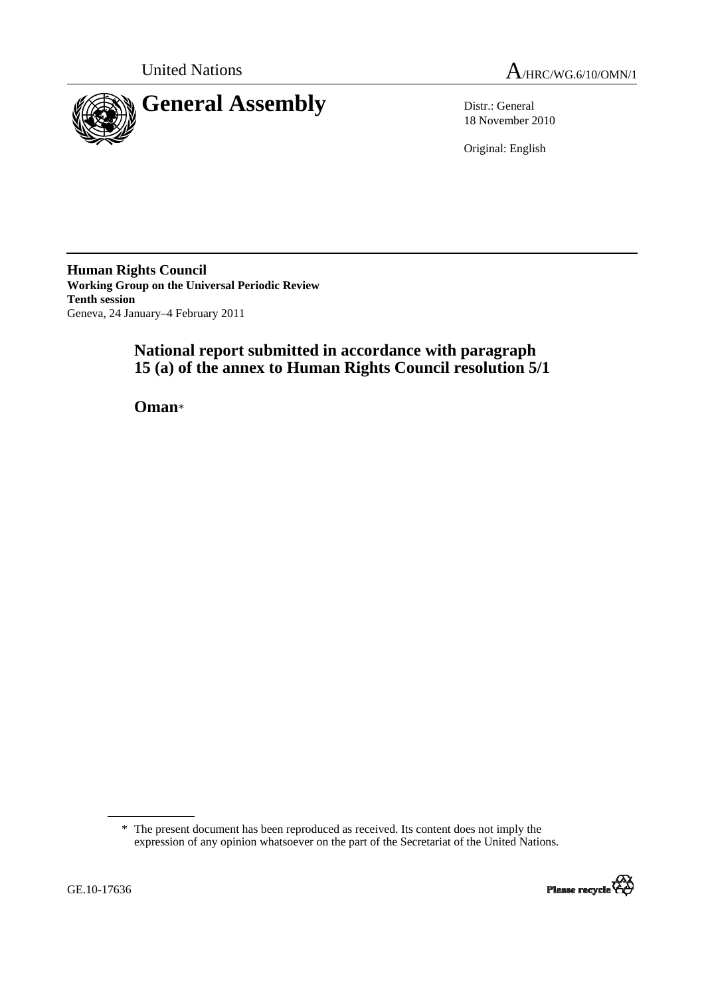

United Nations  $A_{/HRC/WG.6/10/OMN/1}$ 

18 November 2010

Original: English

**Human Rights Council Working Group on the Universal Periodic Review Tenth session**  Geneva, 24 January–4 February 2011

# **National report submitted in accordance with paragraph 15 (a) of the annex to Human Rights Council resolution 5/1**

 **Oman**\*

<sup>\*</sup> The present document has been reproduced as received. Its content does not imply the expression of any opinion whatsoever on the part of the Secretariat of the United Nations.

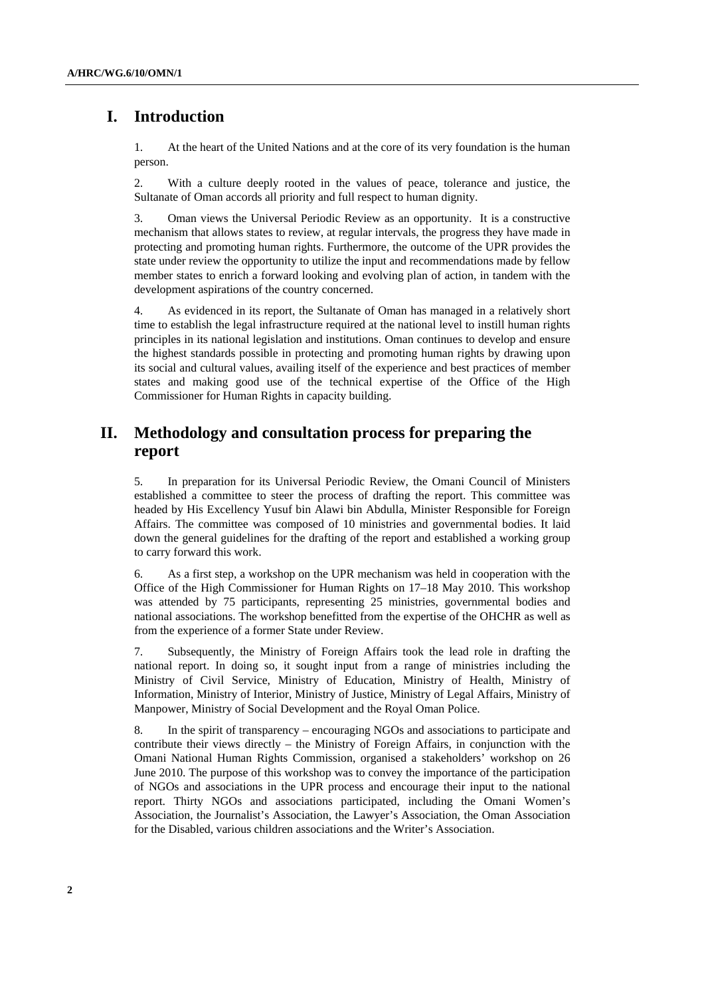# **I. Introduction**

1. At the heart of the United Nations and at the core of its very foundation is the human person.

2. With a culture deeply rooted in the values of peace, tolerance and justice, the Sultanate of Oman accords all priority and full respect to human dignity.

3. Oman views the Universal Periodic Review as an opportunity. It is a constructive mechanism that allows states to review, at regular intervals, the progress they have made in protecting and promoting human rights. Furthermore, the outcome of the UPR provides the state under review the opportunity to utilize the input and recommendations made by fellow member states to enrich a forward looking and evolving plan of action, in tandem with the development aspirations of the country concerned.

4. As evidenced in its report, the Sultanate of Oman has managed in a relatively short time to establish the legal infrastructure required at the national level to instill human rights principles in its national legislation and institutions. Oman continues to develop and ensure the highest standards possible in protecting and promoting human rights by drawing upon its social and cultural values, availing itself of the experience and best practices of member states and making good use of the technical expertise of the Office of the High Commissioner for Human Rights in capacity building.

# **II. Methodology and consultation process for preparing the report**

5. In preparation for its Universal Periodic Review, the Omani Council of Ministers established a committee to steer the process of drafting the report. This committee was headed by His Excellency Yusuf bin Alawi bin Abdulla, Minister Responsible for Foreign Affairs. The committee was composed of 10 ministries and governmental bodies. It laid down the general guidelines for the drafting of the report and established a working group to carry forward this work.

6. As a first step, a workshop on the UPR mechanism was held in cooperation with the Office of the High Commissioner for Human Rights on 17–18 May 2010. This workshop was attended by 75 participants, representing 25 ministries, governmental bodies and national associations. The workshop benefitted from the expertise of the OHCHR as well as from the experience of a former State under Review.

7. Subsequently, the Ministry of Foreign Affairs took the lead role in drafting the national report. In doing so, it sought input from a range of ministries including the Ministry of Civil Service, Ministry of Education, Ministry of Health, Ministry of Information, Ministry of Interior, Ministry of Justice, Ministry of Legal Affairs, Ministry of Manpower, Ministry of Social Development and the Royal Oman Police.

8. In the spirit of transparency – encouraging NGOs and associations to participate and contribute their views directly – the Ministry of Foreign Affairs, in conjunction with the Omani National Human Rights Commission, organised a stakeholders' workshop on 26 June 2010. The purpose of this workshop was to convey the importance of the participation of NGOs and associations in the UPR process and encourage their input to the national report. Thirty NGOs and associations participated, including the Omani Women's Association, the Journalist's Association, the Lawyer's Association, the Oman Association for the Disabled, various children associations and the Writer's Association.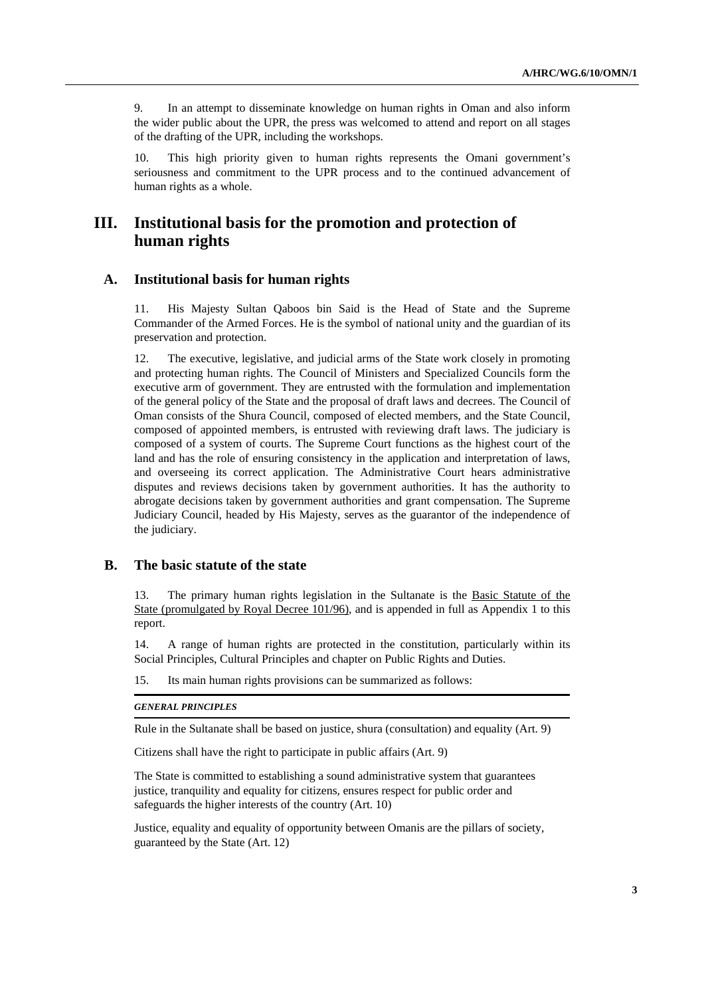9. In an attempt to disseminate knowledge on human rights in Oman and also inform the wider public about the UPR, the press was welcomed to attend and report on all stages of the drafting of the UPR, including the workshops.

10. This high priority given to human rights represents the Omani government's seriousness and commitment to the UPR process and to the continued advancement of human rights as a whole.

## **III. Institutional basis for the promotion and protection of human rights**

## **A. Institutional basis for human rights**

11. His Majesty Sultan Qaboos bin Said is the Head of State and the Supreme Commander of the Armed Forces. He is the symbol of national unity and the guardian of its preservation and protection.

12. The executive, legislative, and judicial arms of the State work closely in promoting and protecting human rights. The Council of Ministers and Specialized Councils form the executive arm of government. They are entrusted with the formulation and implementation of the general policy of the State and the proposal of draft laws and decrees. The Council of Oman consists of the Shura Council, composed of elected members, and the State Council, composed of appointed members, is entrusted with reviewing draft laws. The judiciary is composed of a system of courts. The Supreme Court functions as the highest court of the land and has the role of ensuring consistency in the application and interpretation of laws, and overseeing its correct application. The Administrative Court hears administrative disputes and reviews decisions taken by government authorities. It has the authority to abrogate decisions taken by government authorities and grant compensation. The Supreme Judiciary Council, headed by His Majesty, serves as the guarantor of the independence of the judiciary.

## **B. The basic statute of the state**

13. The primary human rights legislation in the Sultanate is the Basic Statute of the State (promulgated by Royal Decree 101/96), and is appended in full as Appendix 1 to this report.

14. A range of human rights are protected in the constitution, particularly within its Social Principles, Cultural Principles and chapter on Public Rights and Duties.

15. Its main human rights provisions can be summarized as follows:

#### *GENERAL PRINCIPLES*

Rule in the Sultanate shall be based on justice, shura (consultation) and equality (Art. 9)

Citizens shall have the right to participate in public affairs (Art. 9)

The State is committed to establishing a sound administrative system that guarantees justice, tranquility and equality for citizens, ensures respect for public order and safeguards the higher interests of the country (Art. 10)

Justice, equality and equality of opportunity between Omanis are the pillars of society, guaranteed by the State (Art. 12)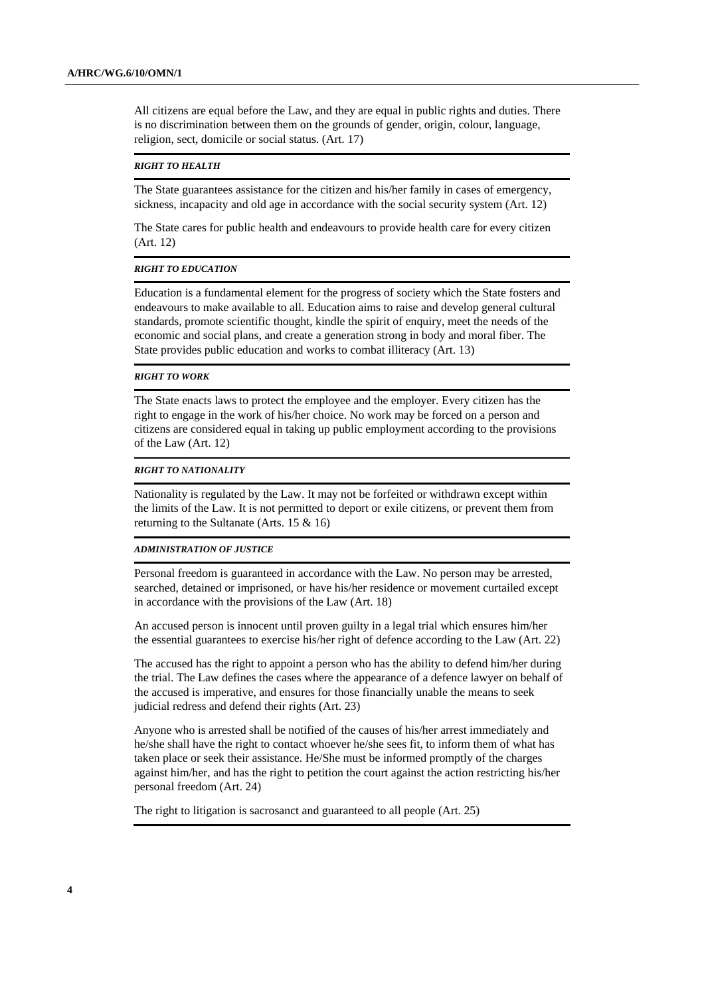All citizens are equal before the Law, and they are equal in public rights and duties. There is no discrimination between them on the grounds of gender, origin, colour, language, religion, sect, domicile or social status. (Art. 17)

#### *RIGHT TO HEALTH*

The State guarantees assistance for the citizen and his/her family in cases of emergency, sickness, incapacity and old age in accordance with the social security system (Art. 12)

The State cares for public health and endeavours to provide health care for every citizen (Art. 12)

#### *RIGHT TO EDUCATION*

Education is a fundamental element for the progress of society which the State fosters and endeavours to make available to all. Education aims to raise and develop general cultural standards, promote scientific thought, kindle the spirit of enquiry, meet the needs of the economic and social plans, and create a generation strong in body and moral fiber. The State provides public education and works to combat illiteracy (Art. 13)

#### *RIGHT TO WORK*

The State enacts laws to protect the employee and the employer. Every citizen has the right to engage in the work of his/her choice. No work may be forced on a person and citizens are considered equal in taking up public employment according to the provisions of the Law (Art. 12)

#### *RIGHT TO NATIONALITY*

Nationality is regulated by the Law. It may not be forfeited or withdrawn except within the limits of the Law. It is not permitted to deport or exile citizens, or prevent them from returning to the Sultanate (Arts. 15 & 16)

#### *ADMINISTRATION OF JUSTICE*

Personal freedom is guaranteed in accordance with the Law. No person may be arrested, searched, detained or imprisoned, or have his/her residence or movement curtailed except in accordance with the provisions of the Law (Art. 18)

An accused person is innocent until proven guilty in a legal trial which ensures him/her the essential guarantees to exercise his/her right of defence according to the Law (Art. 22)

The accused has the right to appoint a person who has the ability to defend him/her during the trial. The Law defines the cases where the appearance of a defence lawyer on behalf of the accused is imperative, and ensures for those financially unable the means to seek judicial redress and defend their rights (Art. 23)

Anyone who is arrested shall be notified of the causes of his/her arrest immediately and he/she shall have the right to contact whoever he/she sees fit, to inform them of what has taken place or seek their assistance. He/She must be informed promptly of the charges against him/her, and has the right to petition the court against the action restricting his/her personal freedom (Art. 24)

The right to litigation is sacrosanct and guaranteed to all people (Art. 25)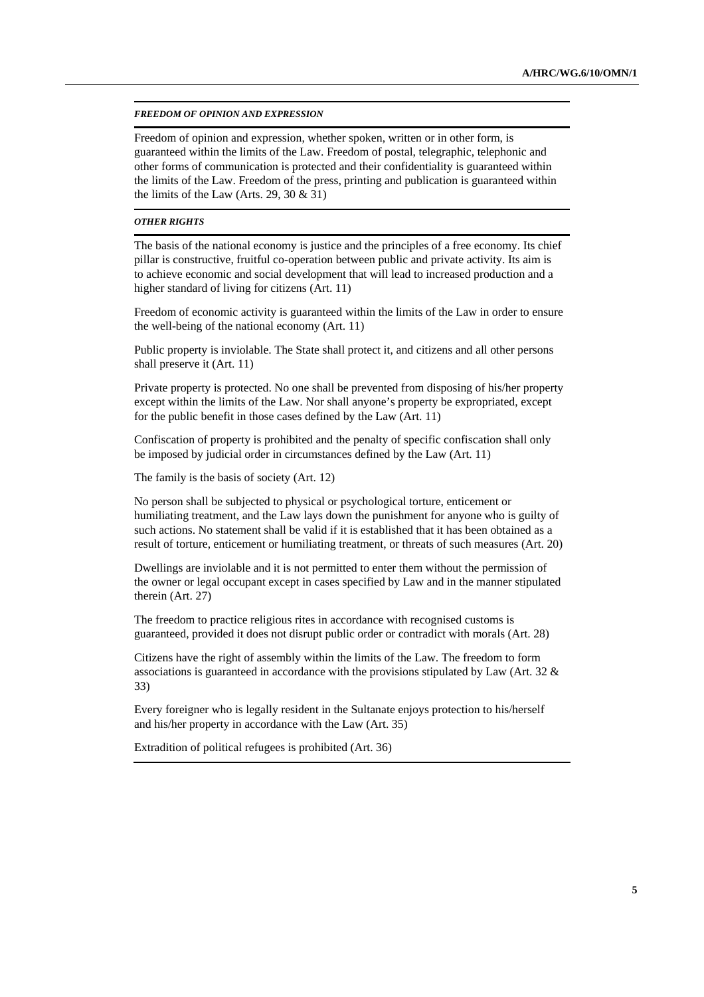#### *FREEDOM OF OPINION AND EXPRESSION*

Freedom of opinion and expression, whether spoken, written or in other form, is guaranteed within the limits of the Law. Freedom of postal, telegraphic, telephonic and other forms of communication is protected and their confidentiality is guaranteed within the limits of the Law. Freedom of the press, printing and publication is guaranteed within the limits of the Law (Arts. 29, 30  $\&$  31)

#### *OTHER RIGHTS*

The basis of the national economy is justice and the principles of a free economy. Its chief pillar is constructive, fruitful co-operation between public and private activity. Its aim is to achieve economic and social development that will lead to increased production and a higher standard of living for citizens (Art. 11)

Freedom of economic activity is guaranteed within the limits of the Law in order to ensure the well-being of the national economy (Art. 11)

Public property is inviolable. The State shall protect it, and citizens and all other persons shall preserve it (Art. 11)

Private property is protected. No one shall be prevented from disposing of his/her property except within the limits of the Law. Nor shall anyone's property be expropriated, except for the public benefit in those cases defined by the Law (Art. 11)

Confiscation of property is prohibited and the penalty of specific confiscation shall only be imposed by judicial order in circumstances defined by the Law (Art. 11)

The family is the basis of society (Art. 12)

No person shall be subjected to physical or psychological torture, enticement or humiliating treatment, and the Law lays down the punishment for anyone who is guilty of such actions. No statement shall be valid if it is established that it has been obtained as a result of torture, enticement or humiliating treatment, or threats of such measures (Art. 20)

Dwellings are inviolable and it is not permitted to enter them without the permission of the owner or legal occupant except in cases specified by Law and in the manner stipulated therein (Art. 27)

The freedom to practice religious rites in accordance with recognised customs is guaranteed, provided it does not disrupt public order or contradict with morals (Art. 28)

Citizens have the right of assembly within the limits of the Law. The freedom to form associations is guaranteed in accordance with the provisions stipulated by Law (Art. 32  $\&$ 33)

Every foreigner who is legally resident in the Sultanate enjoys protection to his/herself and his/her property in accordance with the Law (Art. 35)

Extradition of political refugees is prohibited (Art. 36)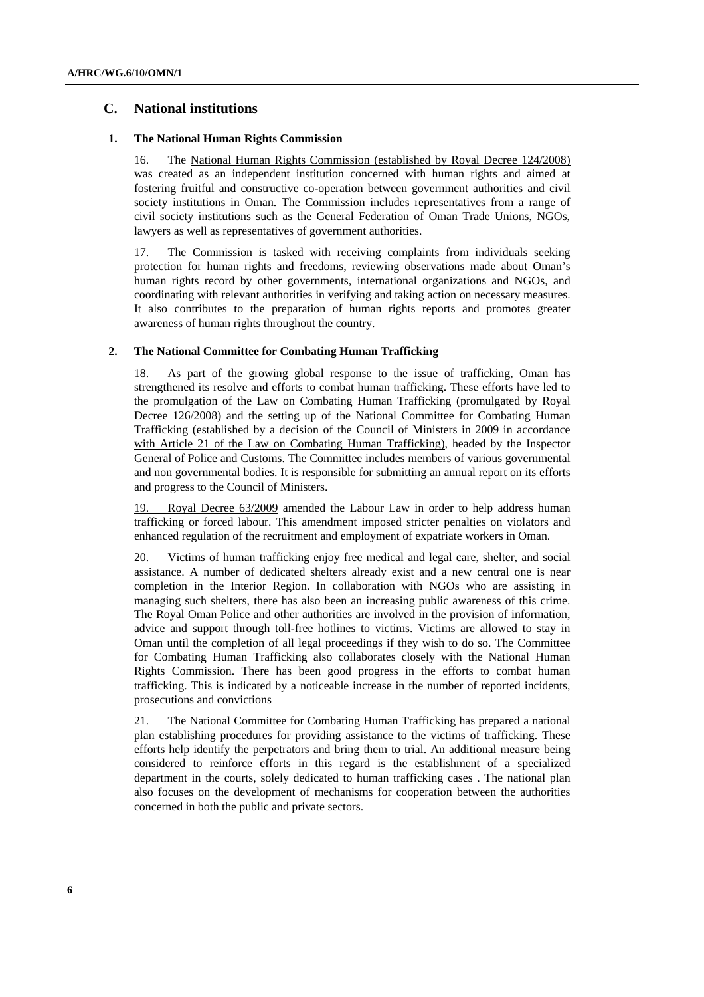## **C. National institutions**

#### **1. The National Human Rights Commission**

16. The National Human Rights Commission (established by Royal Decree 124/2008) was created as an independent institution concerned with human rights and aimed at fostering fruitful and constructive co-operation between government authorities and civil society institutions in Oman. The Commission includes representatives from a range of civil society institutions such as the General Federation of Oman Trade Unions, NGOs, lawyers as well as representatives of government authorities.

17. The Commission is tasked with receiving complaints from individuals seeking protection for human rights and freedoms, reviewing observations made about Oman's human rights record by other governments, international organizations and NGOs, and coordinating with relevant authorities in verifying and taking action on necessary measures. It also contributes to the preparation of human rights reports and promotes greater awareness of human rights throughout the country.

#### **2. The National Committee for Combating Human Trafficking**

18. As part of the growing global response to the issue of trafficking, Oman has strengthened its resolve and efforts to combat human trafficking. These efforts have led to the promulgation of the Law on Combating Human Trafficking (promulgated by Royal Decree 126/2008) and the setting up of the National Committee for Combating Human Trafficking (established by a decision of the Council of Ministers in 2009 in accordance with Article 21 of the Law on Combating Human Trafficking), headed by the Inspector General of Police and Customs. The Committee includes members of various governmental and non governmental bodies. It is responsible for submitting an annual report on its efforts and progress to the Council of Ministers.

19. Royal Decree 63/2009 amended the Labour Law in order to help address human trafficking or forced labour. This amendment imposed stricter penalties on violators and enhanced regulation of the recruitment and employment of expatriate workers in Oman.

20. Victims of human trafficking enjoy free medical and legal care, shelter, and social assistance. A number of dedicated shelters already exist and a new central one is near completion in the Interior Region. In collaboration with NGOs who are assisting in managing such shelters, there has also been an increasing public awareness of this crime. The Royal Oman Police and other authorities are involved in the provision of information, advice and support through toll-free hotlines to victims. Victims are allowed to stay in Oman until the completion of all legal proceedings if they wish to do so. The Committee for Combating Human Trafficking also collaborates closely with the National Human Rights Commission. There has been good progress in the efforts to combat human trafficking. This is indicated by a noticeable increase in the number of reported incidents, prosecutions and convictions

21. The National Committee for Combating Human Trafficking has prepared a national plan establishing procedures for providing assistance to the victims of trafficking. These efforts help identify the perpetrators and bring them to trial. An additional measure being considered to reinforce efforts in this regard is the establishment of a specialized department in the courts, solely dedicated to human trafficking cases . The national plan also focuses on the development of mechanisms for cooperation between the authorities concerned in both the public and private sectors.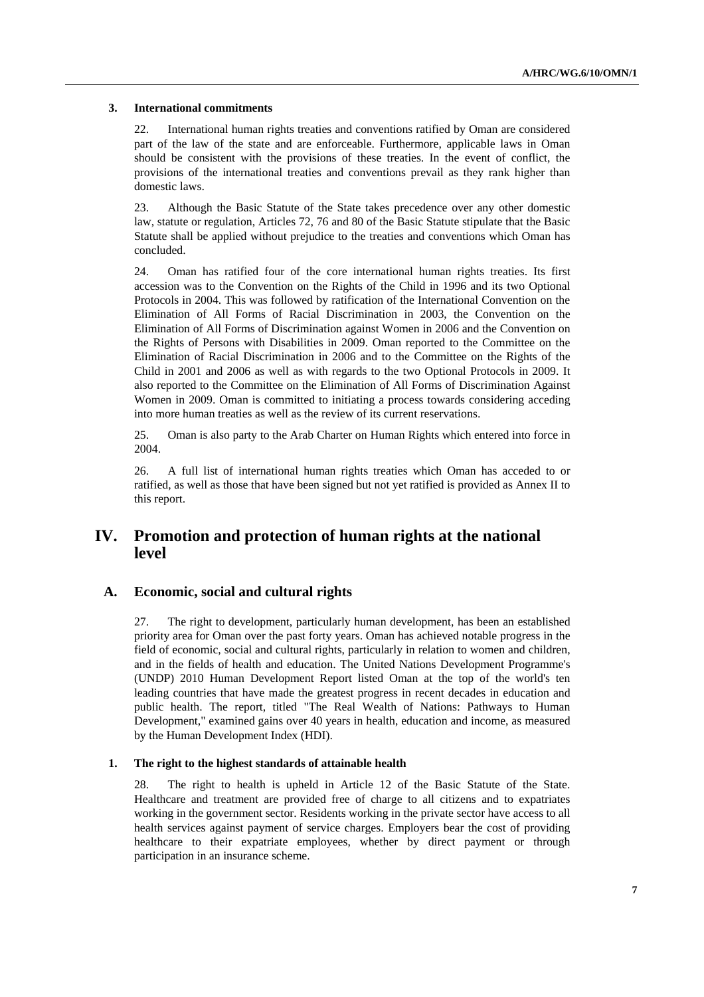#### **3. International commitments**

22. International human rights treaties and conventions ratified by Oman are considered part of the law of the state and are enforceable. Furthermore, applicable laws in Oman should be consistent with the provisions of these treaties. In the event of conflict, the provisions of the international treaties and conventions prevail as they rank higher than domestic laws.

23. Although the Basic Statute of the State takes precedence over any other domestic law, statute or regulation, Articles 72, 76 and 80 of the Basic Statute stipulate that the Basic Statute shall be applied without prejudice to the treaties and conventions which Oman has concluded.

24. Oman has ratified four of the core international human rights treaties. Its first accession was to the Convention on the Rights of the Child in 1996 and its two Optional Protocols in 2004. This was followed by ratification of the International Convention on the Elimination of All Forms of Racial Discrimination in 2003, the Convention on the Elimination of All Forms of Discrimination against Women in 2006 and the Convention on the Rights of Persons with Disabilities in 2009. Oman reported to the Committee on the Elimination of Racial Discrimination in 2006 and to the Committee on the Rights of the Child in 2001 and 2006 as well as with regards to the two Optional Protocols in 2009. It also reported to the Committee on the Elimination of All Forms of Discrimination Against Women in 2009. Oman is committed to initiating a process towards considering acceding into more human treaties as well as the review of its current reservations.

25. Oman is also party to the Arab Charter on Human Rights which entered into force in 2004.

26. A full list of international human rights treaties which Oman has acceded to or ratified, as well as those that have been signed but not yet ratified is provided as Annex II to this report.

## **IV. Promotion and protection of human rights at the national level**

## **A. Economic, social and cultural rights**

27. The right to development, particularly human development, has been an established priority area for Oman over the past forty years. Oman has achieved notable progress in the field of economic, social and cultural rights, particularly in relation to women and children, and in the fields of health and education. The United Nations Development Programme's (UNDP) 2010 Human Development Report listed Oman at the top of the world's ten leading countries that have made the greatest progress in recent decades in education and public health. The report, titled "The Real Wealth of Nations: Pathways to Human Development," examined gains over 40 years in health, education and income, as measured by the Human Development Index (HDI).

#### **1. The right to the highest standards of attainable health**

28. The right to health is upheld in Article 12 of the Basic Statute of the State. Healthcare and treatment are provided free of charge to all citizens and to expatriates working in the government sector. Residents working in the private sector have access to all health services against payment of service charges. Employers bear the cost of providing healthcare to their expatriate employees, whether by direct payment or through participation in an insurance scheme.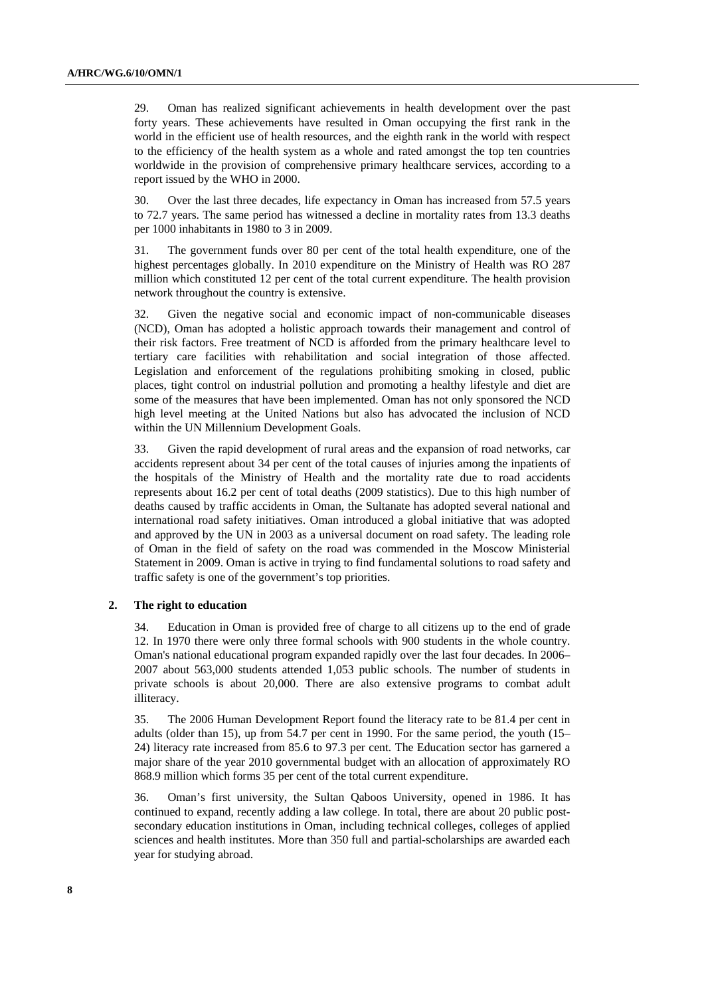29. Oman has realized significant achievements in health development over the past forty years. These achievements have resulted in Oman occupying the first rank in the world in the efficient use of health resources, and the eighth rank in the world with respect to the efficiency of the health system as a whole and rated amongst the top ten countries worldwide in the provision of comprehensive primary healthcare services, according to a report issued by the WHO in 2000.

30. Over the last three decades, life expectancy in Oman has increased from 57.5 years to 72.7 years. The same period has witnessed a decline in mortality rates from 13.3 deaths per 1000 inhabitants in 1980 to 3 in 2009.

31. The government funds over 80 per cent of the total health expenditure, one of the highest percentages globally. In 2010 expenditure on the Ministry of Health was RO 287 million which constituted 12 per cent of the total current expenditure. The health provision network throughout the country is extensive.

32. Given the negative social and economic impact of non-communicable diseases (NCD), Oman has adopted a holistic approach towards their management and control of their risk factors. Free treatment of NCD is afforded from the primary healthcare level to tertiary care facilities with rehabilitation and social integration of those affected. Legislation and enforcement of the regulations prohibiting smoking in closed, public places, tight control on industrial pollution and promoting a healthy lifestyle and diet are some of the measures that have been implemented. Oman has not only sponsored the NCD high level meeting at the United Nations but also has advocated the inclusion of NCD within the UN Millennium Development Goals.

33. Given the rapid development of rural areas and the expansion of road networks, car accidents represent about 34 per cent of the total causes of injuries among the inpatients of the hospitals of the Ministry of Health and the mortality rate due to road accidents represents about 16.2 per cent of total deaths (2009 statistics). Due to this high number of deaths caused by traffic accidents in Oman, the Sultanate has adopted several national and international road safety initiatives. Oman introduced a global initiative that was adopted and approved by the UN in 2003 as a universal document on road safety. The leading role of Oman in the field of safety on the road was commended in the Moscow Ministerial Statement in 2009. Oman is active in trying to find fundamental solutions to road safety and traffic safety is one of the government's top priorities.

#### **2. The right to education**

34. Education in Oman is provided free of charge to all citizens up to the end of grade 12. In 1970 there were only three formal schools with 900 students in the whole country. Oman's national educational program expanded rapidly over the last four decades. In 2006– 2007 about 563,000 students attended 1,053 public schools. The number of students in private schools is about 20,000. There are also extensive programs to combat adult illiteracy.

35. The 2006 Human Development Report found the literacy rate to be 81.4 per cent in adults (older than 15), up from 54.7 per cent in 1990. For the same period, the youth (15– 24) literacy rate increased from 85.6 to 97.3 per cent. The Education sector has garnered a major share of the year 2010 governmental budget with an allocation of approximately RO 868.9 million which forms 35 per cent of the total current expenditure.

36. Oman's first university, the Sultan Qaboos University, opened in 1986. It has continued to expand, recently adding a law college. In total, there are about 20 public postsecondary education institutions in Oman, including technical colleges, colleges of applied sciences and health institutes. More than 350 full and partial-scholarships are awarded each year for studying abroad.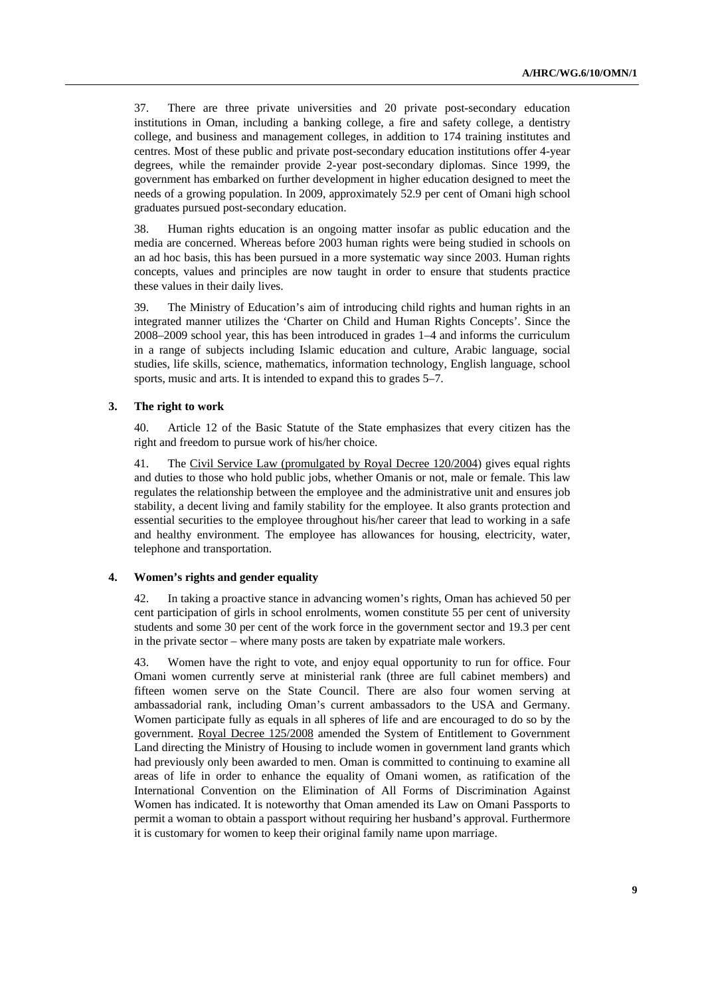37. There are three private universities and 20 private post-secondary education institutions in Oman, including a banking college, a fire and safety college, a dentistry college, and business and management colleges, in addition to 174 training institutes and centres. Most of these public and private post-secondary education institutions offer 4-year degrees, while the remainder provide 2-year post-secondary diplomas. Since 1999, the government has embarked on further development in higher education designed to meet the needs of a growing population. In 2009, approximately 52.9 per cent of Omani high school graduates pursued post-secondary education.

38. Human rights education is an ongoing matter insofar as public education and the media are concerned. Whereas before 2003 human rights were being studied in schools on an ad hoc basis, this has been pursued in a more systematic way since 2003. Human rights concepts, values and principles are now taught in order to ensure that students practice these values in their daily lives.

39. The Ministry of Education's aim of introducing child rights and human rights in an integrated manner utilizes the 'Charter on Child and Human Rights Concepts'. Since the 2008–2009 school year, this has been introduced in grades 1–4 and informs the curriculum in a range of subjects including Islamic education and culture, Arabic language, social studies, life skills, science, mathematics, information technology, English language, school sports, music and arts. It is intended to expand this to grades 5–7.

#### **3. The right to work**

40. Article 12 of the Basic Statute of the State emphasizes that every citizen has the right and freedom to pursue work of his/her choice.

41. The Civil Service Law (promulgated by Royal Decree 120/2004) gives equal rights and duties to those who hold public jobs, whether Omanis or not, male or female. This law regulates the relationship between the employee and the administrative unit and ensures job stability, a decent living and family stability for the employee. It also grants protection and essential securities to the employee throughout his/her career that lead to working in a safe and healthy environment. The employee has allowances for housing, electricity, water, telephone and transportation.

#### **4. Women's rights and gender equality**

42. In taking a proactive stance in advancing women's rights, Oman has achieved 50 per cent participation of girls in school enrolments, women constitute 55 per cent of university students and some 30 per cent of the work force in the government sector and 19.3 per cent in the private sector – where many posts are taken by expatriate male workers.

43. Women have the right to vote, and enjoy equal opportunity to run for office. Four Omani women currently serve at ministerial rank (three are full cabinet members) and fifteen women serve on the State Council. There are also four women serving at ambassadorial rank, including Oman's current ambassadors to the USA and Germany. Women participate fully as equals in all spheres of life and are encouraged to do so by the government. Royal Decree 125/2008 amended the System of Entitlement to Government Land directing the Ministry of Housing to include women in government land grants which had previously only been awarded to men. Oman is committed to continuing to examine all areas of life in order to enhance the equality of Omani women, as ratification of the International Convention on the Elimination of All Forms of Discrimination Against Women has indicated. It is noteworthy that Oman amended its Law on Omani Passports to permit a woman to obtain a passport without requiring her husband's approval. Furthermore it is customary for women to keep their original family name upon marriage.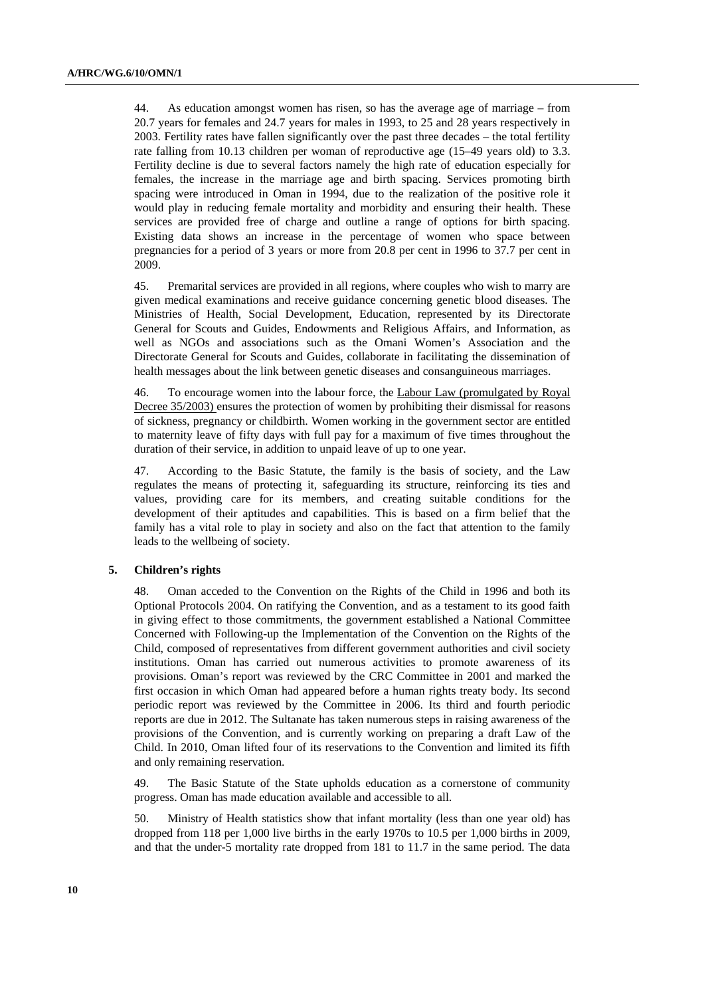44. As education amongst women has risen, so has the average age of marriage – from 20.7 years for females and 24.7 years for males in 1993, to 25 and 28 years respectively in 2003. Fertility rates have fallen significantly over the past three decades – the total fertility rate falling from 10.13 children per woman of reproductive age (15–49 years old) to 3.3. Fertility decline is due to several factors namely the high rate of education especially for females, the increase in the marriage age and birth spacing. Services promoting birth spacing were introduced in Oman in 1994, due to the realization of the positive role it would play in reducing female mortality and morbidity and ensuring their health. These services are provided free of charge and outline a range of options for birth spacing. Existing data shows an increase in the percentage of women who space between pregnancies for a period of 3 years or more from 20.8 per cent in 1996 to 37.7 per cent in 2009.

45. Premarital services are provided in all regions, where couples who wish to marry are given medical examinations and receive guidance concerning genetic blood diseases. The Ministries of Health, Social Development, Education, represented by its Directorate General for Scouts and Guides, Endowments and Religious Affairs, and Information, as well as NGOs and associations such as the Omani Women's Association and the Directorate General for Scouts and Guides, collaborate in facilitating the dissemination of health messages about the link between genetic diseases and consanguineous marriages.

46. To encourage women into the labour force, the Labour Law (promulgated by Royal Decree 35/2003) ensures the protection of women by prohibiting their dismissal for reasons of sickness, pregnancy or childbirth. Women working in the government sector are entitled to maternity leave of fifty days with full pay for a maximum of five times throughout the duration of their service, in addition to unpaid leave of up to one year.

47. According to the Basic Statute, the family is the basis of society, and the Law regulates the means of protecting it, safeguarding its structure, reinforcing its ties and values, providing care for its members, and creating suitable conditions for the development of their aptitudes and capabilities. This is based on a firm belief that the family has a vital role to play in society and also on the fact that attention to the family leads to the wellbeing of society.

### **5. Children's rights**

48. Oman acceded to the Convention on the Rights of the Child in 1996 and both its Optional Protocols 2004. On ratifying the Convention, and as a testament to its good faith in giving effect to those commitments, the government established a National Committee Concerned with Following-up the Implementation of the Convention on the Rights of the Child, composed of representatives from different government authorities and civil society institutions. Oman has carried out numerous activities to promote awareness of its provisions. Oman's report was reviewed by the CRC Committee in 2001 and marked the first occasion in which Oman had appeared before a human rights treaty body. Its second periodic report was reviewed by the Committee in 2006. Its third and fourth periodic reports are due in 2012. The Sultanate has taken numerous steps in raising awareness of the provisions of the Convention, and is currently working on preparing a draft Law of the Child. In 2010, Oman lifted four of its reservations to the Convention and limited its fifth and only remaining reservation.

49. The Basic Statute of the State upholds education as a cornerstone of community progress. Oman has made education available and accessible to all.

50. Ministry of Health statistics show that infant mortality (less than one year old) has dropped from 118 per 1,000 live births in the early 1970s to 10.5 per 1,000 births in 2009, and that the under-5 mortality rate dropped from 181 to 11.7 in the same period. The data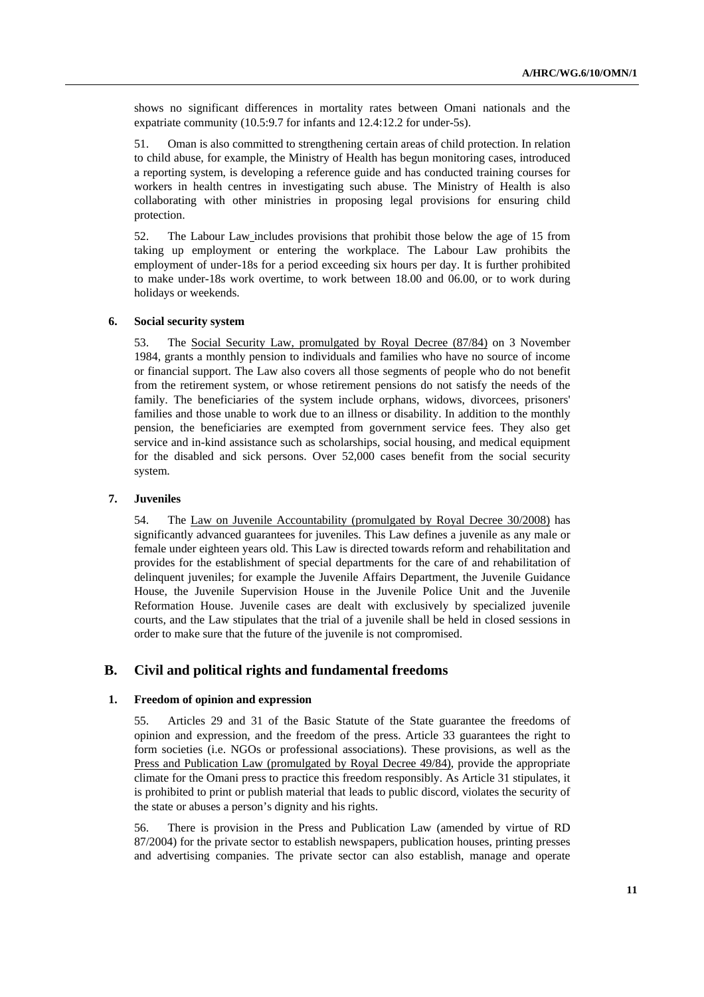shows no significant differences in mortality rates between Omani nationals and the expatriate community (10.5:9.7 for infants and 12.4:12.2 for under-5s).

51. Oman is also committed to strengthening certain areas of child protection. In relation to child abuse, for example, the Ministry of Health has begun monitoring cases, introduced a reporting system, is developing a reference guide and has conducted training courses for workers in health centres in investigating such abuse. The Ministry of Health is also collaborating with other ministries in proposing legal provisions for ensuring child protection.

52. The Labour Law includes provisions that prohibit those below the age of 15 from taking up employment or entering the workplace. The Labour Law prohibits the employment of under-18s for a period exceeding six hours per day. It is further prohibited to make under-18s work overtime, to work between 18.00 and 06.00, or to work during holidays or weekends.

#### **6. Social security system**

53. The Social Security Law, promulgated by Royal Decree (87/84) on 3 November 1984, grants a monthly pension to individuals and families who have no source of income or financial support. The Law also covers all those segments of people who do not benefit from the retirement system, or whose retirement pensions do not satisfy the needs of the family. The beneficiaries of the system include orphans, widows, divorcees, prisoners' families and those unable to work due to an illness or disability. In addition to the monthly pension, the beneficiaries are exempted from government service fees. They also get service and in-kind assistance such as scholarships, social housing, and medical equipment for the disabled and sick persons. Over 52,000 cases benefit from the social security system.

#### **7. Juveniles**

54. The Law on Juvenile Accountability (promulgated by Royal Decree 30/2008) has significantly advanced guarantees for juveniles. This Law defines a juvenile as any male or female under eighteen years old. This Law is directed towards reform and rehabilitation and provides for the establishment of special departments for the care of and rehabilitation of delinquent juveniles; for example the Juvenile Affairs Department, the Juvenile Guidance House, the Juvenile Supervision House in the Juvenile Police Unit and the Juvenile Reformation House. Juvenile cases are dealt with exclusively by specialized juvenile courts, and the Law stipulates that the trial of a juvenile shall be held in closed sessions in order to make sure that the future of the juvenile is not compromised.

## **B. Civil and political rights and fundamental freedoms**

#### **1. Freedom of opinion and expression**

55. Articles 29 and 31 of the Basic Statute of the State guarantee the freedoms of opinion and expression, and the freedom of the press. Article 33 guarantees the right to form societies (i.e. NGOs or professional associations). These provisions, as well as the Press and Publication Law (promulgated by Royal Decree 49/84), provide the appropriate climate for the Omani press to practice this freedom responsibly. As Article 31 stipulates, it is prohibited to print or publish material that leads to public discord, violates the security of the state or abuses a person's dignity and his rights.

56. There is provision in the Press and Publication Law (amended by virtue of RD 87/2004) for the private sector to establish newspapers, publication houses, printing presses and advertising companies. The private sector can also establish, manage and operate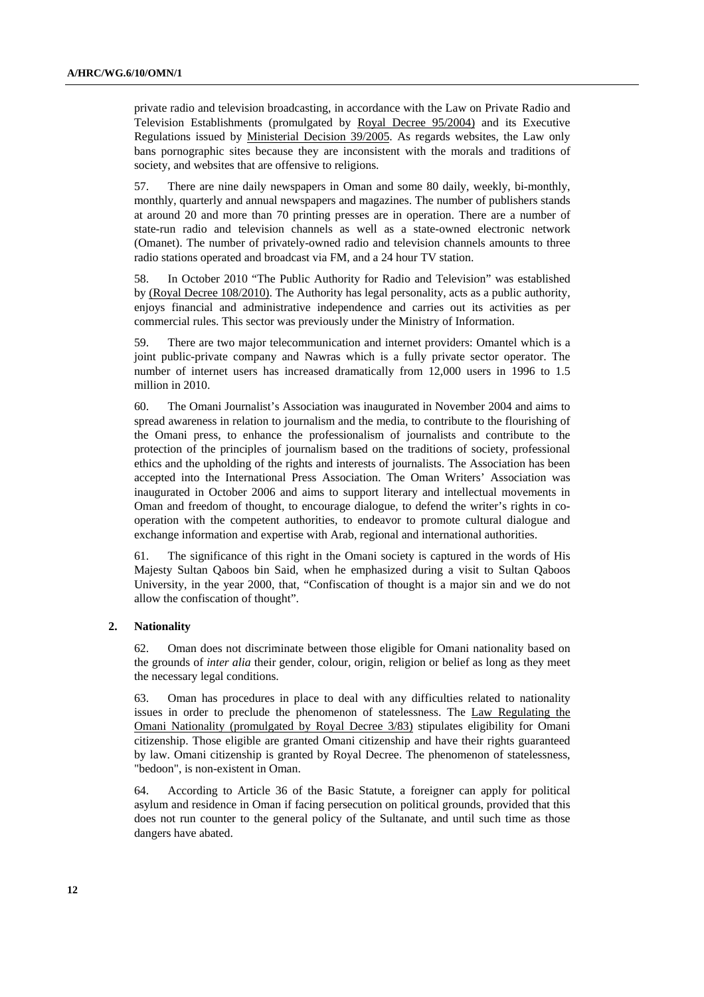private radio and television broadcasting, in accordance with the Law on Private Radio and Television Establishments (promulgated by Royal Decree 95/2004) and its Executive Regulations issued by Ministerial Decision 39/2005. As regards websites, the Law only bans pornographic sites because they are inconsistent with the morals and traditions of society, and websites that are offensive to religions.

57. There are nine daily newspapers in Oman and some 80 daily, weekly, bi-monthly, monthly, quarterly and annual newspapers and magazines. The number of publishers stands at around 20 and more than 70 printing presses are in operation. There are a number of state-run radio and television channels as well as a state-owned electronic network (Omanet). The number of privately-owned radio and television channels amounts to three radio stations operated and broadcast via FM, and a 24 hour TV station.

58. In October 2010 "The Public Authority for Radio and Television" was established by (Royal Decree 108/2010). The Authority has legal personality, acts as a public authority, enjoys financial and administrative independence and carries out its activities as per commercial rules. This sector was previously under the Ministry of Information.

59. There are two major telecommunication and internet providers: Omantel which is a joint public-private company and Nawras which is a fully private sector operator. The number of internet users has increased dramatically from 12,000 users in 1996 to 1.5 million in 2010.

60. The Omani Journalist's Association was inaugurated in November 2004 and aims to spread awareness in relation to journalism and the media, to contribute to the flourishing of the Omani press, to enhance the professionalism of journalists and contribute to the protection of the principles of journalism based on the traditions of society, professional ethics and the upholding of the rights and interests of journalists. The Association has been accepted into the International Press Association. The Oman Writers' Association was inaugurated in October 2006 and aims to support literary and intellectual movements in Oman and freedom of thought, to encourage dialogue, to defend the writer's rights in cooperation with the competent authorities, to endeavor to promote cultural dialogue and exchange information and expertise with Arab, regional and international authorities.

61. The significance of this right in the Omani society is captured in the words of His Majesty Sultan Qaboos bin Said, when he emphasized during a visit to Sultan Qaboos University, in the year 2000, that, "Confiscation of thought is a major sin and we do not allow the confiscation of thought".

#### **2. Nationality**

62. Oman does not discriminate between those eligible for Omani nationality based on the grounds of *inter alia* their gender, colour, origin, religion or belief as long as they meet the necessary legal conditions.

63. Oman has procedures in place to deal with any difficulties related to nationality issues in order to preclude the phenomenon of statelessness. The Law Regulating the Omani Nationality (promulgated by Royal Decree 3/83) stipulates eligibility for Omani citizenship. Those eligible are granted Omani citizenship and have their rights guaranteed by law. Omani citizenship is granted by Royal Decree. The phenomenon of statelessness, "bedoon", is non-existent in Oman.

64. According to Article 36 of the Basic Statute, a foreigner can apply for political asylum and residence in Oman if facing persecution on political grounds, provided that this does not run counter to the general policy of the Sultanate, and until such time as those dangers have abated.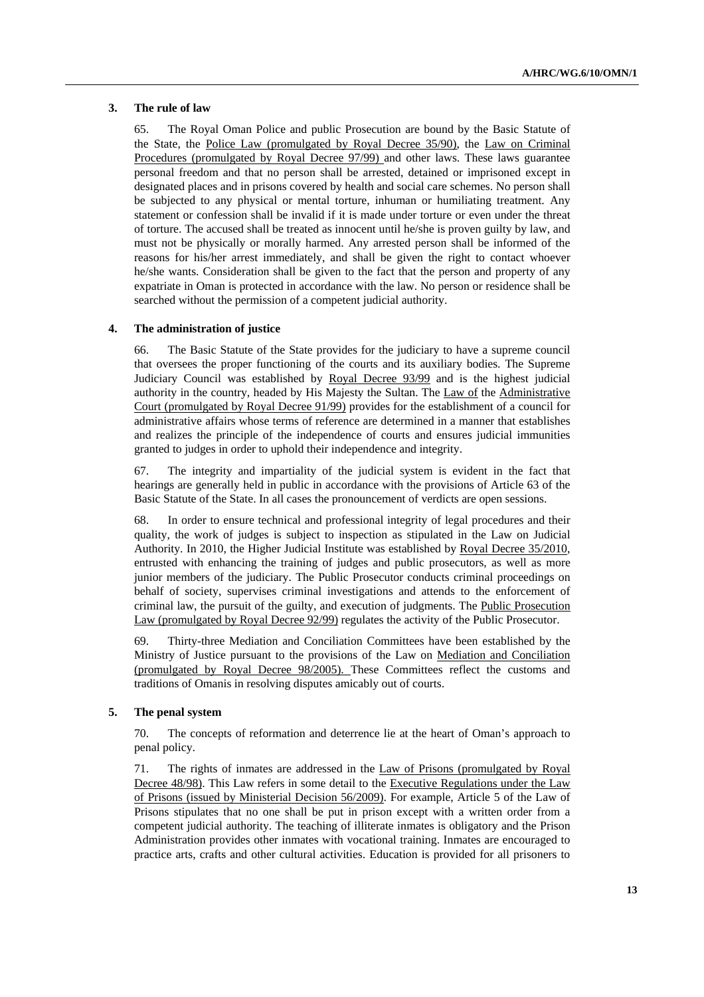#### **3. The rule of law**

65. The Royal Oman Police and public Prosecution are bound by the Basic Statute of the State, the Police Law (promulgated by Royal Decree 35/90), the Law on Criminal Procedures (promulgated by Royal Decree 97/99) and other laws. These laws guarantee personal freedom and that no person shall be arrested, detained or imprisoned except in designated places and in prisons covered by health and social care schemes. No person shall be subjected to any physical or mental torture, inhuman or humiliating treatment. Any statement or confession shall be invalid if it is made under torture or even under the threat of torture. The accused shall be treated as innocent until he/she is proven guilty by law, and must not be physically or morally harmed. Any arrested person shall be informed of the reasons for his/her arrest immediately, and shall be given the right to contact whoever he/she wants. Consideration shall be given to the fact that the person and property of any expatriate in Oman is protected in accordance with the law. No person or residence shall be searched without the permission of a competent judicial authority.

#### **4. The administration of justice**

66. The Basic Statute of the State provides for the judiciary to have a supreme council that oversees the proper functioning of the courts and its auxiliary bodies. The Supreme Judiciary Council was established by Royal Decree 93/99 and is the highest judicial authority in the country, headed by His Majesty the Sultan. The Law of the Administrative Court (promulgated by Royal Decree 91/99) provides for the establishment of a council for administrative affairs whose terms of reference are determined in a manner that establishes and realizes the principle of the independence of courts and ensures judicial immunities granted to judges in order to uphold their independence and integrity.

67. The integrity and impartiality of the judicial system is evident in the fact that hearings are generally held in public in accordance with the provisions of Article 63 of the Basic Statute of the State. In all cases the pronouncement of verdicts are open sessions.

68. In order to ensure technical and professional integrity of legal procedures and their quality, the work of judges is subject to inspection as stipulated in the Law on Judicial Authority. In 2010, the Higher Judicial Institute was established by Royal Decree 35/2010, entrusted with enhancing the training of judges and public prosecutors, as well as more junior members of the judiciary. The Public Prosecutor conducts criminal proceedings on behalf of society, supervises criminal investigations and attends to the enforcement of criminal law, the pursuit of the guilty, and execution of judgments. The Public Prosecution Law (promulgated by Royal Decree 92/99) regulates the activity of the Public Prosecutor.

69. Thirty-three Mediation and Conciliation Committees have been established by the Ministry of Justice pursuant to the provisions of the Law on Mediation and Conciliation (promulgated by Royal Decree 98/2005). These Committees reflect the customs and traditions of Omanis in resolving disputes amicably out of courts.

#### **5. The penal system**

70. The concepts of reformation and deterrence lie at the heart of Oman's approach to penal policy.

71. The rights of inmates are addressed in the Law of Prisons (promulgated by Royal Decree 48/98). This Law refers in some detail to the Executive Regulations under the Law of Prisons (issued by Ministerial Decision 56/2009). For example, Article 5 of the Law of Prisons stipulates that no one shall be put in prison except with a written order from a competent judicial authority. The teaching of illiterate inmates is obligatory and the Prison Administration provides other inmates with vocational training. Inmates are encouraged to practice arts, crafts and other cultural activities. Education is provided for all prisoners to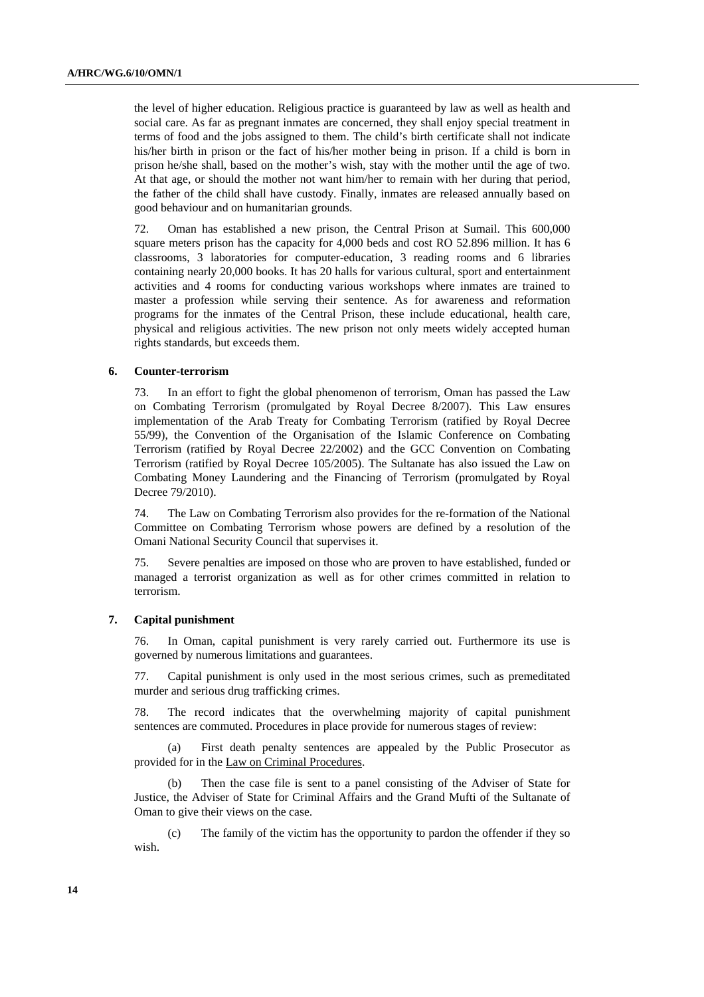the level of higher education. Religious practice is guaranteed by law as well as health and social care. As far as pregnant inmates are concerned, they shall enjoy special treatment in terms of food and the jobs assigned to them. The child's birth certificate shall not indicate his/her birth in prison or the fact of his/her mother being in prison. If a child is born in prison he/she shall, based on the mother's wish, stay with the mother until the age of two. At that age, or should the mother not want him/her to remain with her during that period, the father of the child shall have custody. Finally, inmates are released annually based on good behaviour and on humanitarian grounds.

72. Oman has established a new prison, the Central Prison at Sumail. This 600,000 square meters prison has the capacity for 4,000 beds and cost RO 52.896 million. It has 6 classrooms, 3 laboratories for computer-education, 3 reading rooms and 6 libraries containing nearly 20,000 books. It has 20 halls for various cultural, sport and entertainment activities and 4 rooms for conducting various workshops where inmates are trained to master a profession while serving their sentence. As for awareness and reformation programs for the inmates of the Central Prison, these include educational, health care, physical and religious activities. The new prison not only meets widely accepted human rights standards, but exceeds them.

#### **6. Counter-terrorism**

73. In an effort to fight the global phenomenon of terrorism, Oman has passed the Law on Combating Terrorism (promulgated by Royal Decree 8/2007). This Law ensures implementation of the Arab Treaty for Combating Terrorism (ratified by Royal Decree 55/99), the Convention of the Organisation of the Islamic Conference on Combating Terrorism (ratified by Royal Decree 22/2002) and the GCC Convention on Combating Terrorism (ratified by Royal Decree 105/2005). The Sultanate has also issued the Law on Combating Money Laundering and the Financing of Terrorism (promulgated by Royal Decree 79/2010).

74. The Law on Combating Terrorism also provides for the re-formation of the National Committee on Combating Terrorism whose powers are defined by a resolution of the Omani National Security Council that supervises it.

75. Severe penalties are imposed on those who are proven to have established, funded or managed a terrorist organization as well as for other crimes committed in relation to terrorism.

#### **7. Capital punishment**

76. In Oman, capital punishment is very rarely carried out. Furthermore its use is governed by numerous limitations and guarantees.

77. Capital punishment is only used in the most serious crimes, such as premeditated murder and serious drug trafficking crimes.

78. The record indicates that the overwhelming majority of capital punishment sentences are commuted. Procedures in place provide for numerous stages of review:

 (a) First death penalty sentences are appealed by the Public Prosecutor as provided for in the Law on Criminal Procedures.

Then the case file is sent to a panel consisting of the Adviser of State for Justice, the Adviser of State for Criminal Affairs and the Grand Mufti of the Sultanate of Oman to give their views on the case.

The family of the victim has the opportunity to pardon the offender if they so wish.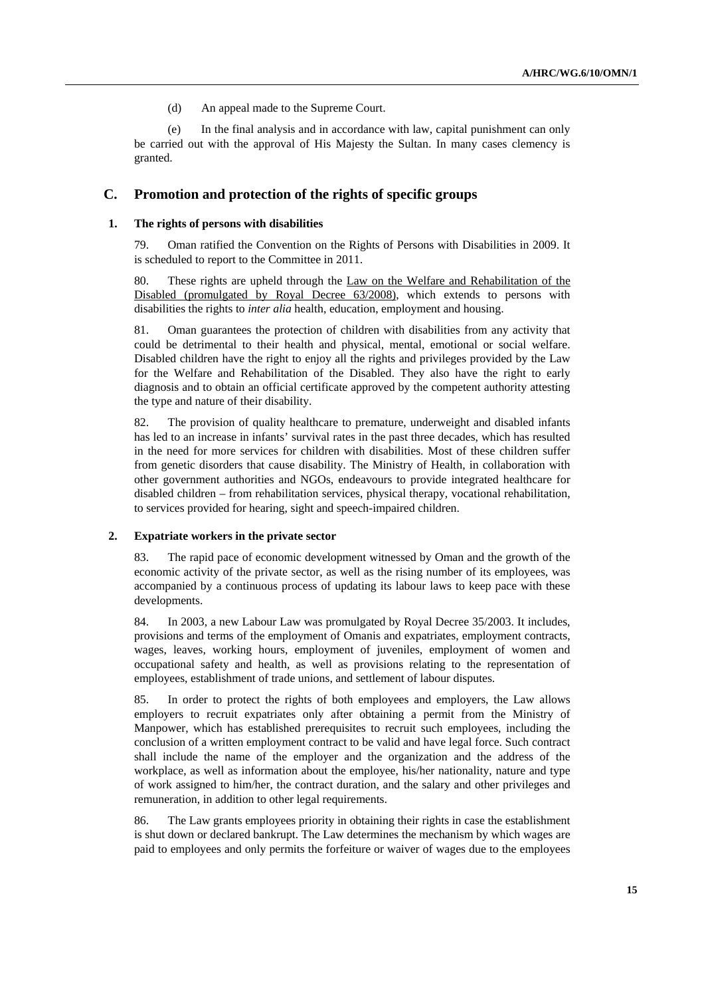(d) An appeal made to the Supreme Court.

 (e) In the final analysis and in accordance with law, capital punishment can only be carried out with the approval of His Majesty the Sultan. In many cases clemency is granted.

### **C. Promotion and protection of the rights of specific groups**

#### **1. The rights of persons with disabilities**

79. Oman ratified the Convention on the Rights of Persons with Disabilities in 2009. It is scheduled to report to the Committee in 2011.

80. These rights are upheld through the Law on the Welfare and Rehabilitation of the Disabled (promulgated by Royal Decree 63/2008), which extends to persons with disabilities the rights to *inter alia* health, education, employment and housing.

81. Oman guarantees the protection of children with disabilities from any activity that could be detrimental to their health and physical, mental, emotional or social welfare. Disabled children have the right to enjoy all the rights and privileges provided by the Law for the Welfare and Rehabilitation of the Disabled. They also have the right to early diagnosis and to obtain an official certificate approved by the competent authority attesting the type and nature of their disability.

82. The provision of quality healthcare to premature, underweight and disabled infants has led to an increase in infants' survival rates in the past three decades, which has resulted in the need for more services for children with disabilities. Most of these children suffer from genetic disorders that cause disability. The Ministry of Health, in collaboration with other government authorities and NGOs, endeavours to provide integrated healthcare for disabled children – from rehabilitation services, physical therapy, vocational rehabilitation, to services provided for hearing, sight and speech-impaired children.

#### **2. Expatriate workers in the private sector**

83. The rapid pace of economic development witnessed by Oman and the growth of the economic activity of the private sector, as well as the rising number of its employees, was accompanied by a continuous process of updating its labour laws to keep pace with these developments.

84. In 2003, a new Labour Law was promulgated by Royal Decree 35/2003. It includes, provisions and terms of the employment of Omanis and expatriates, employment contracts, wages, leaves, working hours, employment of juveniles, employment of women and occupational safety and health, as well as provisions relating to the representation of employees, establishment of trade unions, and settlement of labour disputes.

85. In order to protect the rights of both employees and employers, the Law allows employers to recruit expatriates only after obtaining a permit from the Ministry of Manpower, which has established prerequisites to recruit such employees, including the conclusion of a written employment contract to be valid and have legal force. Such contract shall include the name of the employer and the organization and the address of the workplace, as well as information about the employee, his/her nationality, nature and type of work assigned to him/her, the contract duration, and the salary and other privileges and remuneration, in addition to other legal requirements.

86. The Law grants employees priority in obtaining their rights in case the establishment is shut down or declared bankrupt. The Law determines the mechanism by which wages are paid to employees and only permits the forfeiture or waiver of wages due to the employees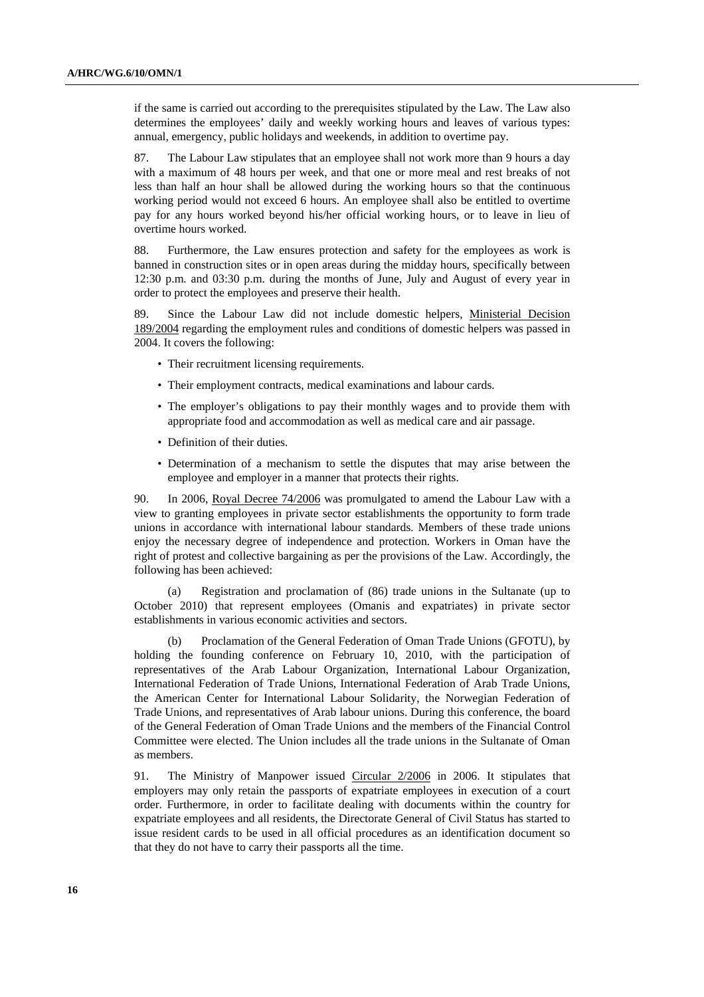if the same is carried out according to the prerequisites stipulated by the Law. The Law also determines the employees' daily and weekly working hours and leaves of various types: annual, emergency, public holidays and weekends, in addition to overtime pay.

87. The Labour Law stipulates that an employee shall not work more than 9 hours a day with a maximum of 48 hours per week, and that one or more meal and rest breaks of not less than half an hour shall be allowed during the working hours so that the continuous working period would not exceed 6 hours. An employee shall also be entitled to overtime pay for any hours worked beyond his/her official working hours, or to leave in lieu of overtime hours worked.

88. Furthermore, the Law ensures protection and safety for the employees as work is banned in construction sites or in open areas during the midday hours, specifically between 12:30 p.m. and 03:30 p.m. during the months of June, July and August of every year in order to protect the employees and preserve their health.

89. Since the Labour Law did not include domestic helpers, Ministerial Decision 189/2004 regarding the employment rules and conditions of domestic helpers was passed in 2004. It covers the following:

- Their recruitment licensing requirements.
- Their employment contracts, medical examinations and labour cards.
- The employer's obligations to pay their monthly wages and to provide them with appropriate food and accommodation as well as medical care and air passage.
- Definition of their duties.
- Determination of a mechanism to settle the disputes that may arise between the employee and employer in a manner that protects their rights.

90. In 2006, Royal Decree 74/2006 was promulgated to amend the Labour Law with a view to granting employees in private sector establishments the opportunity to form trade unions in accordance with international labour standards. Members of these trade unions enjoy the necessary degree of independence and protection. Workers in Oman have the right of protest and collective bargaining as per the provisions of the Law. Accordingly, the following has been achieved:

 (a) Registration and proclamation of (86) trade unions in the Sultanate (up to October 2010) that represent employees (Omanis and expatriates) in private sector establishments in various economic activities and sectors.

 (b) Proclamation of the General Federation of Oman Trade Unions (GFOTU), by holding the founding conference on February 10, 2010, with the participation of representatives of the Arab Labour Organization, International Labour Organization, International Federation of Trade Unions, International Federation of Arab Trade Unions, the American Center for International Labour Solidarity, the Norwegian Federation of Trade Unions, and representatives of Arab labour unions. During this conference, the board of the General Federation of Oman Trade Unions and the members of the Financial Control Committee were elected. The Union includes all the trade unions in the Sultanate of Oman as members.

91. The Ministry of Manpower issued Circular 2/2006 in 2006. It stipulates that employers may only retain the passports of expatriate employees in execution of a court order. Furthermore, in order to facilitate dealing with documents within the country for expatriate employees and all residents, the Directorate General of Civil Status has started to issue resident cards to be used in all official procedures as an identification document so that they do not have to carry their passports all the time.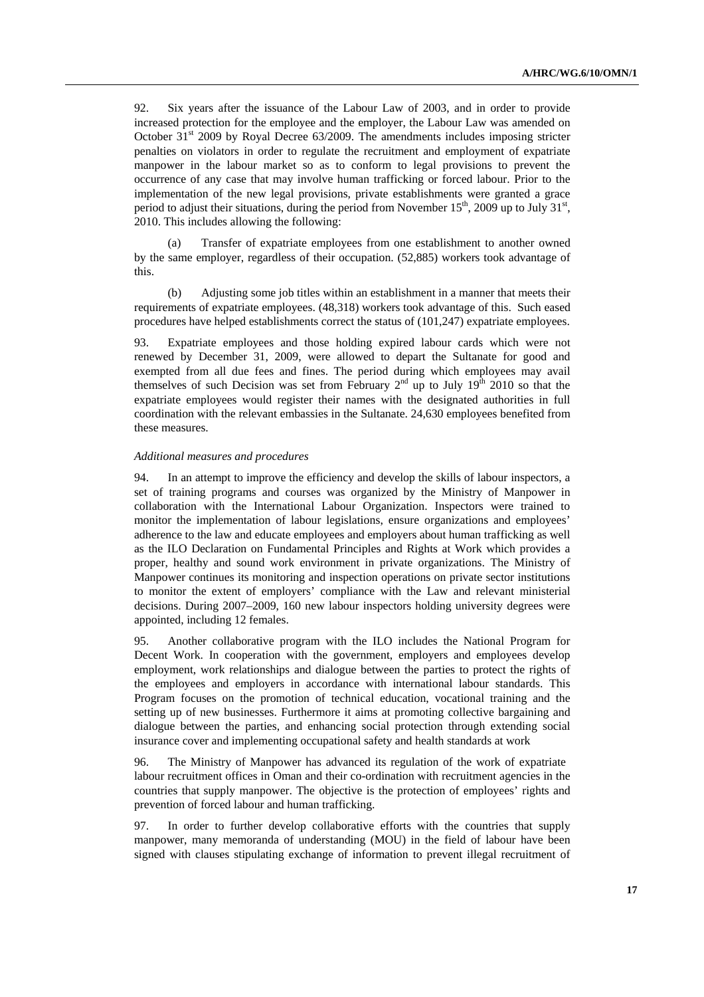92. Six years after the issuance of the Labour Law of 2003, and in order to provide increased protection for the employee and the employer, the Labour Law was amended on October  $31<sup>st</sup>$  2009 by Royal Decree 63/2009. The amendments includes imposing stricter penalties on violators in order to regulate the recruitment and employment of expatriate manpower in the labour market so as to conform to legal provisions to prevent the occurrence of any case that may involve human trafficking or forced labour. Prior to the implementation of the new legal provisions, private establishments were granted a grace period to adjust their situations, during the period from November  $15<sup>th</sup>$ , 2009 up to July  $31<sup>st</sup>$ , 2010. This includes allowing the following:

 (a) Transfer of expatriate employees from one establishment to another owned by the same employer, regardless of their occupation. (52,885) workers took advantage of this.

 (b) Adjusting some job titles within an establishment in a manner that meets their requirements of expatriate employees. (48,318) workers took advantage of this. Such eased procedures have helped establishments correct the status of (101,247) expatriate employees.

93. Expatriate employees and those holding expired labour cards which were not renewed by December 31, 2009, were allowed to depart the Sultanate for good and exempted from all due fees and fines. The period during which employees may avail themselves of such Decision was set from February  $2<sup>nd</sup>$  up to July  $19<sup>th</sup>$  2010 so that the expatriate employees would register their names with the designated authorities in full coordination with the relevant embassies in the Sultanate. 24,630 employees benefited from these measures.

#### *Additional measures and procedures*

94. In an attempt to improve the efficiency and develop the skills of labour inspectors, a set of training programs and courses was organized by the Ministry of Manpower in collaboration with the International Labour Organization. Inspectors were trained to monitor the implementation of labour legislations, ensure organizations and employees' adherence to the law and educate employees and employers about human trafficking as well as the ILO Declaration on Fundamental Principles and Rights at Work which provides a proper, healthy and sound work environment in private organizations. The Ministry of Manpower continues its monitoring and inspection operations on private sector institutions to monitor the extent of employers' compliance with the Law and relevant ministerial decisions. During 2007–2009, 160 new labour inspectors holding university degrees were appointed, including 12 females.

95. Another collaborative program with the ILO includes the National Program for Decent Work. In cooperation with the government, employers and employees develop employment, work relationships and dialogue between the parties to protect the rights of the employees and employers in accordance with international labour standards. This Program focuses on the promotion of technical education, vocational training and the setting up of new businesses. Furthermore it aims at promoting collective bargaining and dialogue between the parties, and enhancing social protection through extending social insurance cover and implementing occupational safety and health standards at work

96. The Ministry of Manpower has advanced its regulation of the work of expatriate labour recruitment offices in Oman and their co-ordination with recruitment agencies in the countries that supply manpower. The objective is the protection of employees' rights and prevention of forced labour and human trafficking.

97. In order to further develop collaborative efforts with the countries that supply manpower, many memoranda of understanding (MOU) in the field of labour have been signed with clauses stipulating exchange of information to prevent illegal recruitment of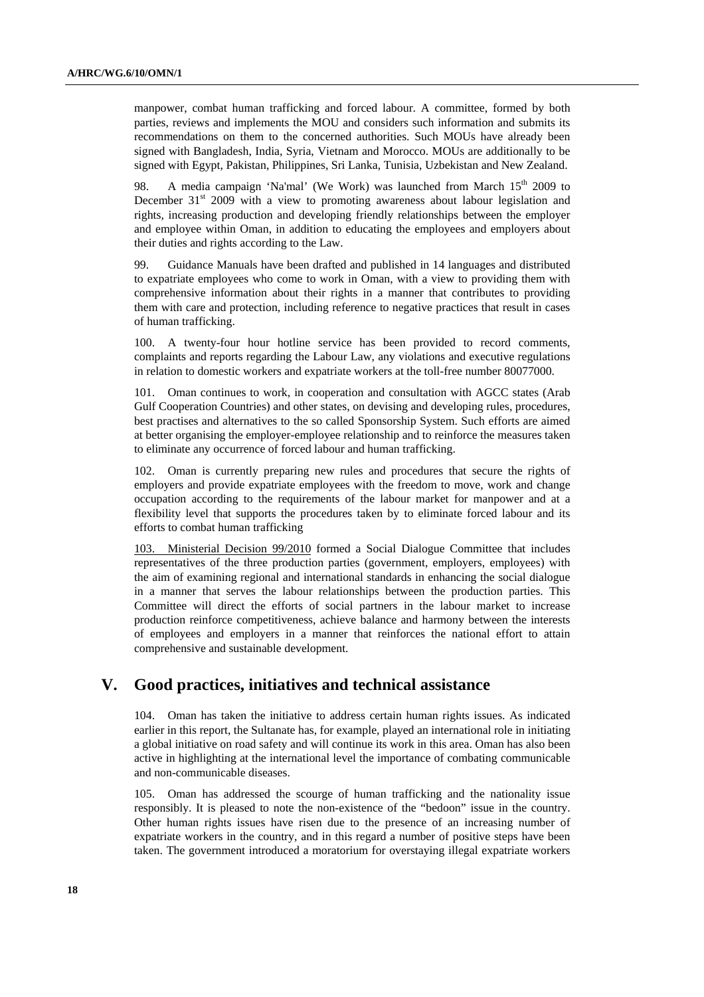manpower, combat human trafficking and forced labour. A committee, formed by both parties, reviews and implements the MOU and considers such information and submits its recommendations on them to the concerned authorities. Such MOUs have already been signed with Bangladesh, India, Syria, Vietnam and Morocco. MOUs are additionally to be signed with Egypt, Pakistan, Philippines, Sri Lanka, Tunisia, Uzbekistan and New Zealand.

98. A media campaign 'Na'mal' (We Work) was launched from March  $15<sup>th</sup>$  2009 to December  $31<sup>st</sup>$  2009 with a view to promoting awareness about labour legislation and rights, increasing production and developing friendly relationships between the employer and employee within Oman, in addition to educating the employees and employers about their duties and rights according to the Law.

99. Guidance Manuals have been drafted and published in 14 languages and distributed to expatriate employees who come to work in Oman, with a view to providing them with comprehensive information about their rights in a manner that contributes to providing them with care and protection, including reference to negative practices that result in cases of human trafficking.

100. A twenty-four hour hotline service has been provided to record comments, complaints and reports regarding the Labour Law, any violations and executive regulations in relation to domestic workers and expatriate workers at the toll-free number 80077000.

101. Oman continues to work, in cooperation and consultation with AGCC states (Arab Gulf Cooperation Countries) and other states, on devising and developing rules, procedures, best practises and alternatives to the so called Sponsorship System. Such efforts are aimed at better organising the employer-employee relationship and to reinforce the measures taken to eliminate any occurrence of forced labour and human trafficking.

102. Oman is currently preparing new rules and procedures that secure the rights of employers and provide expatriate employees with the freedom to move, work and change occupation according to the requirements of the labour market for manpower and at a flexibility level that supports the procedures taken by to eliminate forced labour and its efforts to combat human trafficking

103. Ministerial Decision 99/2010 formed a Social Dialogue Committee that includes representatives of the three production parties (government, employers, employees) with the aim of examining regional and international standards in enhancing the social dialogue in a manner that serves the labour relationships between the production parties. This Committee will direct the efforts of social partners in the labour market to increase production reinforce competitiveness, achieve balance and harmony between the interests of employees and employers in a manner that reinforces the national effort to attain comprehensive and sustainable development.

## **V. Good practices, initiatives and technical assistance**

104. Oman has taken the initiative to address certain human rights issues. As indicated earlier in this report, the Sultanate has, for example, played an international role in initiating a global initiative on road safety and will continue its work in this area. Oman has also been active in highlighting at the international level the importance of combating communicable and non-communicable diseases.

105. Oman has addressed the scourge of human trafficking and the nationality issue responsibly. It is pleased to note the non-existence of the "bedoon" issue in the country. Other human rights issues have risen due to the presence of an increasing number of expatriate workers in the country, and in this regard a number of positive steps have been taken. The government introduced a moratorium for overstaying illegal expatriate workers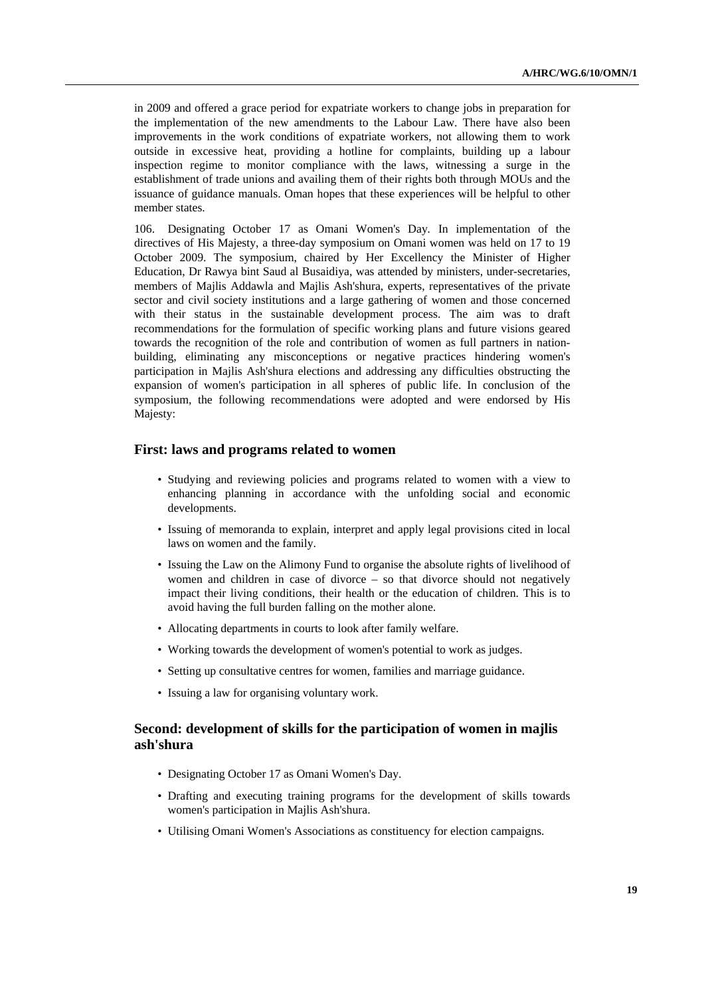in 2009 and offered a grace period for expatriate workers to change jobs in preparation for the implementation of the new amendments to the Labour Law. There have also been improvements in the work conditions of expatriate workers, not allowing them to work outside in excessive heat, providing a hotline for complaints, building up a labour inspection regime to monitor compliance with the laws, witnessing a surge in the establishment of trade unions and availing them of their rights both through MOUs and the issuance of guidance manuals. Oman hopes that these experiences will be helpful to other member states.

106. Designating October 17 as Omani Women's Day*.* In implementation of the directives of His Majesty, a three-day symposium on Omani women was held on 17 to 19 October 2009. The symposium, chaired by Her Excellency the Minister of Higher Education, Dr Rawya bint Saud al Busaidiya, was attended by ministers, under-secretaries, members of Majlis Addawla and Majlis Ash'shura, experts, representatives of the private sector and civil society institutions and a large gathering of women and those concerned with their status in the sustainable development process. The aim was to draft recommendations for the formulation of specific working plans and future visions geared towards the recognition of the role and contribution of women as full partners in nationbuilding, eliminating any misconceptions or negative practices hindering women's participation in Majlis Ash'shura elections and addressing any difficulties obstructing the expansion of women's participation in all spheres of public life. In conclusion of the symposium, the following recommendations were adopted and were endorsed by His Majesty:

### **First: laws and programs related to women**

- Studying and reviewing policies and programs related to women with a view to enhancing planning in accordance with the unfolding social and economic developments.
- Issuing of memoranda to explain, interpret and apply legal provisions cited in local laws on women and the family.
- Issuing the Law on the Alimony Fund to organise the absolute rights of livelihood of women and children in case of divorce – so that divorce should not negatively impact their living conditions, their health or the education of children. This is to avoid having the full burden falling on the mother alone.
- Allocating departments in courts to look after family welfare.
- Working towards the development of women's potential to work as judges.
- Setting up consultative centres for women, families and marriage guidance.
- Issuing a law for organising voluntary work.

## **Second: development of skills for the participation of women in majlis ash'shura**

- Designating October 17 as Omani Women's Day.
- Drafting and executing training programs for the development of skills towards women's participation in Majlis Ash'shura.
- Utilising Omani Women's Associations as constituency for election campaigns.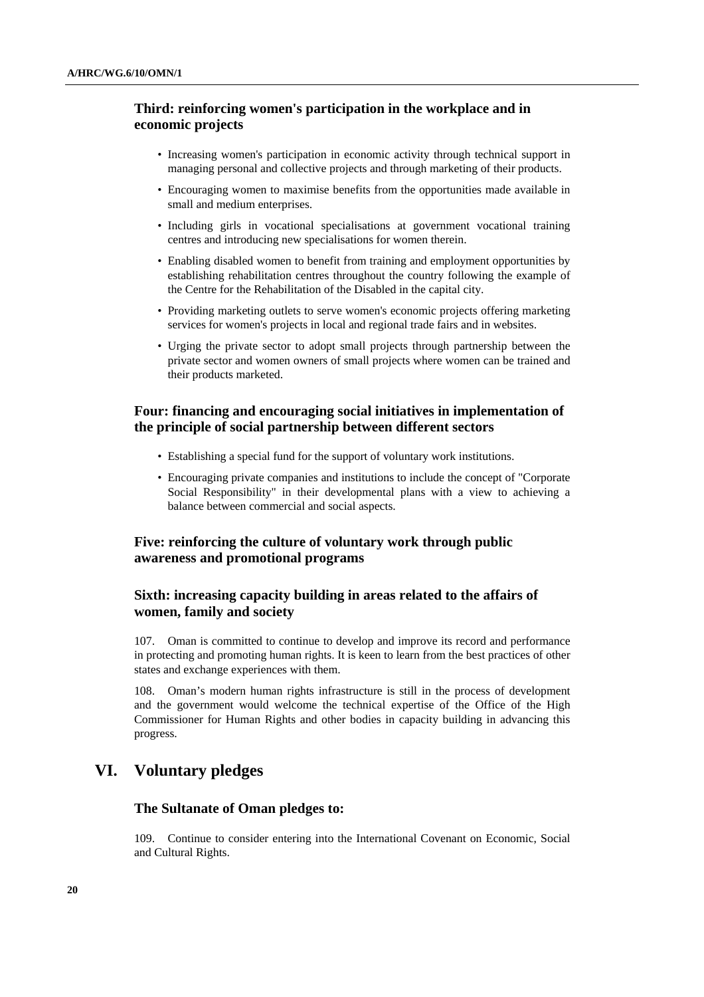## **Third: reinforcing women's participation in the workplace and in economic projects**

- Increasing women's participation in economic activity through technical support in managing personal and collective projects and through marketing of their products.
- Encouraging women to maximise benefits from the opportunities made available in small and medium enterprises.
- Including girls in vocational specialisations at government vocational training centres and introducing new specialisations for women therein.
- Enabling disabled women to benefit from training and employment opportunities by establishing rehabilitation centres throughout the country following the example of the Centre for the Rehabilitation of the Disabled in the capital city.
- Providing marketing outlets to serve women's economic projects offering marketing services for women's projects in local and regional trade fairs and in websites.
- Urging the private sector to adopt small projects through partnership between the private sector and women owners of small projects where women can be trained and their products marketed.

## **Four: financing and encouraging social initiatives in implementation of the principle of social partnership between different sectors**

- Establishing a special fund for the support of voluntary work institutions.
- Encouraging private companies and institutions to include the concept of "Corporate Social Responsibility" in their developmental plans with a view to achieving a balance between commercial and social aspects.

## **Five: reinforcing the culture of voluntary work through public awareness and promotional programs**

## **Sixth: increasing capacity building in areas related to the affairs of women, family and society**

107. Oman is committed to continue to develop and improve its record and performance in protecting and promoting human rights. It is keen to learn from the best practices of other states and exchange experiences with them.

108. Oman's modern human rights infrastructure is still in the process of development and the government would welcome the technical expertise of the Office of the High Commissioner for Human Rights and other bodies in capacity building in advancing this progress.

## **VI. Voluntary pledges**

## **The Sultanate of Oman pledges to:**

109. Continue to consider entering into the International Covenant on Economic, Social and Cultural Rights.